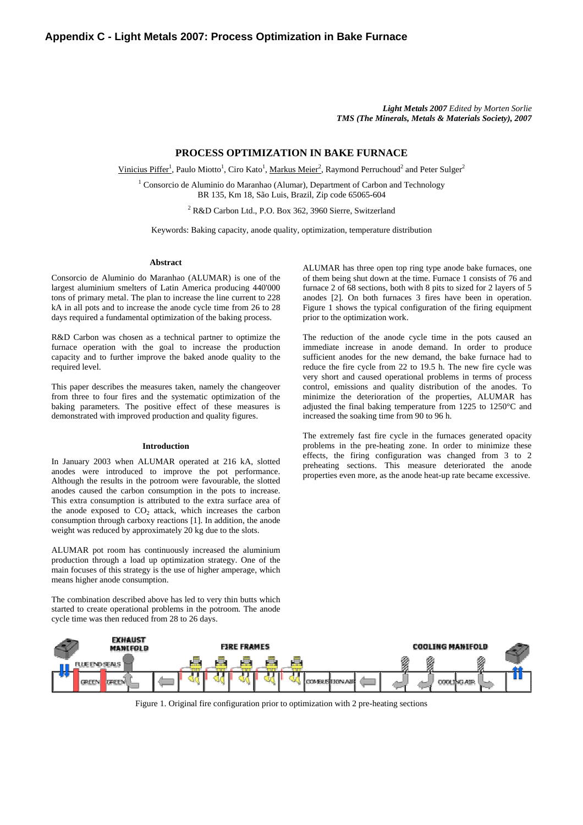*Light Metals 2007 Edited by Morten Sorlie TMS (The Minerals, Metals & Materials Society), 2007* 

# **PROCESS OPTIMIZATION IN BAKE FURNACE**

Vinicius Piffer<sup>1</sup>, Paulo Miotto<sup>1</sup>, Ciro Kato<sup>1</sup>, Markus Meier<sup>2</sup>, Raymond Perruchoud<sup>2</sup> and Peter Sulger<sup>2</sup>

<sup>1</sup> Consorcio de Aluminio do Maranhao (Alumar), Department of Carbon and Technology BR 135, Km 18, São Luis, Brazil, Zip code 65065-604

2 R&D Carbon Ltd., P.O. Box 362, 3960 Sierre, Switzerland

Keywords: Baking capacity, anode quality, optimization, temperature distribution

#### **Abstract**

Consorcio de Aluminio do Maranhao (ALUMAR) is one of the largest aluminium smelters of Latin America producing 440'000 tons of primary metal. The plan to increase the line current to 228 kA in all pots and to increase the anode cycle time from 26 to 28 days required a fundamental optimization of the baking process.

R&D Carbon was chosen as a technical partner to optimize the furnace operation with the goal to increase the production capacity and to further improve the baked anode quality to the required level.

This paper describes the measures taken, namely the changeover from three to four fires and the systematic optimization of the baking parameters. The positive effect of these measures is demonstrated with improved production and quality figures.

# **Introduction**

In January 2003 when ALUMAR operated at 216 kA, slotted anodes were introduced to improve the pot performance. Although the results in the potroom were favourable, the slotted anodes caused the carbon consumption in the pots to increase. This extra consumption is attributed to the extra surface area of the anode exposed to  $CO<sub>2</sub>$  attack, which increases the carbon consumption through carboxy reactions [1]. In addition, the anode weight was reduced by approximately 20 kg due to the slots.

ALUMAR pot room has continuously increased the aluminium production through a load up optimization strategy. One of the main focuses of this strategy is the use of higher amperage, which means higher anode consumption.

The combination described above has led to very thin butts which started to create operational problems in the potroom. The anode cycle time was then reduced from 28 to 26 days.

ALUMAR has three open top ring type anode bake furnaces, one of them being shut down at the time. Furnace 1 consists of 76 and furnace 2 of 68 sections, both with 8 pits to sized for 2 layers of 5 anodes [2]. On both furnaces 3 fires have been in operation. Figure 1 shows the typical configuration of the firing equipment prior to the optimization work.

The reduction of the anode cycle time in the pots caused an immediate increase in anode demand. In order to produce sufficient anodes for the new demand, the bake furnace had to reduce the fire cycle from 22 to 19.5 h. The new fire cycle was very short and caused operational problems in terms of process control, emissions and quality distribution of the anodes. To minimize the deterioration of the properties, ALUMAR has adjusted the final baking temperature from 1225 to 1250°C and increased the soaking time from 90 to 96 h.

The extremely fast fire cycle in the furnaces generated opacity problems in the pre-heating zone. In order to minimize these effects, the firing configuration was changed from 3 to 2 preheating sections. This measure deteriorated the anode properties even more, as the anode heat-up rate became excessive.



Figure 1. Original fire configuration prior to optimization with 2 pre-heating sections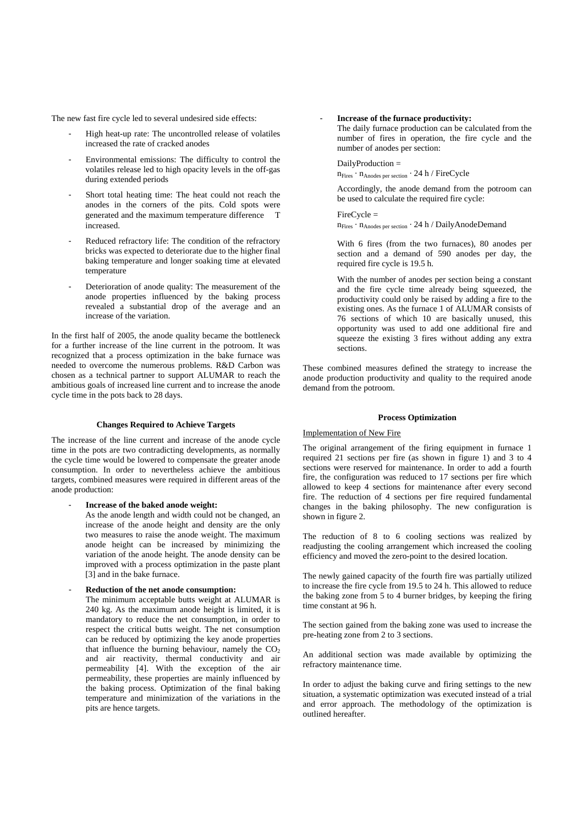The new fast fire cycle led to several undesired side effects:

- High heat-up rate: The uncontrolled release of volatiles increased the rate of cracked anodes
- Environmental emissions: The difficulty to control the volatiles release led to high opacity levels in the off-gas during extended periods
- Short total heating time: The heat could not reach the anodes in the corners of the pits. Cold spots were generated and the maximum temperature difference T increased.
- Reduced refractory life: The condition of the refractory bricks was expected to deteriorate due to the higher final baking temperature and longer soaking time at elevated temperature
- Deterioration of anode quality: The measurement of the anode properties influenced by the baking process revealed a substantial drop of the average and an increase of the variation.

In the first half of 2005, the anode quality became the bottleneck for a further increase of the line current in the potroom. It was recognized that a process optimization in the bake furnace was needed to overcome the numerous problems. R&D Carbon was chosen as a technical partner to support ALUMAR to reach the ambitious goals of increased line current and to increase the anode cycle time in the pots back to 28 days.

# **Changes Required to Achieve Targets**

The increase of the line current and increase of the anode cycle time in the pots are two contradicting developments, as normally the cycle time would be lowered to compensate the greater anode consumption. In order to nevertheless achieve the ambitious targets, combined measures were required in different areas of the anode production:

- **Increase of the baked anode weight:** 

As the anode length and width could not be changed, an increase of the anode height and density are the only two measures to raise the anode weight. The maximum anode height can be increased by minimizing the variation of the anode height. The anode density can be improved with a process optimization in the paste plant [3] and in the bake furnace.

# - **Reduction of the net anode consumption:**

The minimum acceptable butts weight at ALUMAR is 240 kg. As the maximum anode height is limited, it is mandatory to reduce the net consumption, in order to respect the critical butts weight. The net consumption can be reduced by optimizing the key anode properties that influence the burning behaviour, namely the  $CO<sub>2</sub>$ and air reactivity, thermal conductivity and air permeability [4]. With the exception of the air permeability, these properties are mainly influenced by the baking process. Optimization of the final baking temperature and minimization of the variations in the pits are hence targets.

# - **Increase of the furnace productivity:**

The daily furnace production can be calculated from the number of fires in operation, the fire cycle and the number of anodes per section:

#### DailyProduction =

 $n_{\mathrm{Fires}}\cdot n_{\mathrm{Anodes\,per\,section}}\cdot 24\ h$  / FireCycle

Accordingly, the anode demand from the potroom can be used to calculate the required fire cycle:

FireCycle = nFires · nAnodes per section · 24 h / DailyAnodeDemand

With 6 fires (from the two furnaces), 80 anodes per section and a demand of 590 anodes per day, the required fire cycle is 19.5 h.

With the number of anodes per section being a constant and the fire cycle time already being squeezed, the productivity could only be raised by adding a fire to the existing ones. As the furnace 1 of ALUMAR consists of 76 sections of which 10 are basically unused, this opportunity was used to add one additional fire and squeeze the existing 3 fires without adding any extra sections.

These combined measures defined the strategy to increase the anode production productivity and quality to the required anode demand from the potroom.

#### **Process Optimization**

#### Implementation of New Fire

The original arrangement of the firing equipment in furnace 1 required 21 sections per fire (as shown in figure 1) and 3 to 4 sections were reserved for maintenance. In order to add a fourth fire, the configuration was reduced to 17 sections per fire which allowed to keep 4 sections for maintenance after every second fire. The reduction of 4 sections per fire required fundamental changes in the baking philosophy. The new configuration is shown in figure 2.

The reduction of 8 to 6 cooling sections was realized by readjusting the cooling arrangement which increased the cooling efficiency and moved the zero-point to the desired location.

The newly gained capacity of the fourth fire was partially utilized to increase the fire cycle from 19.5 to 24 h. This allowed to reduce the baking zone from 5 to 4 burner bridges, by keeping the firing time constant at 96 h.

The section gained from the baking zone was used to increase the pre-heating zone from 2 to 3 sections.

An additional section was made available by optimizing the refractory maintenance time.

In order to adjust the baking curve and firing settings to the new situation, a systematic optimization was executed instead of a trial and error approach. The methodology of the optimization is outlined hereafter.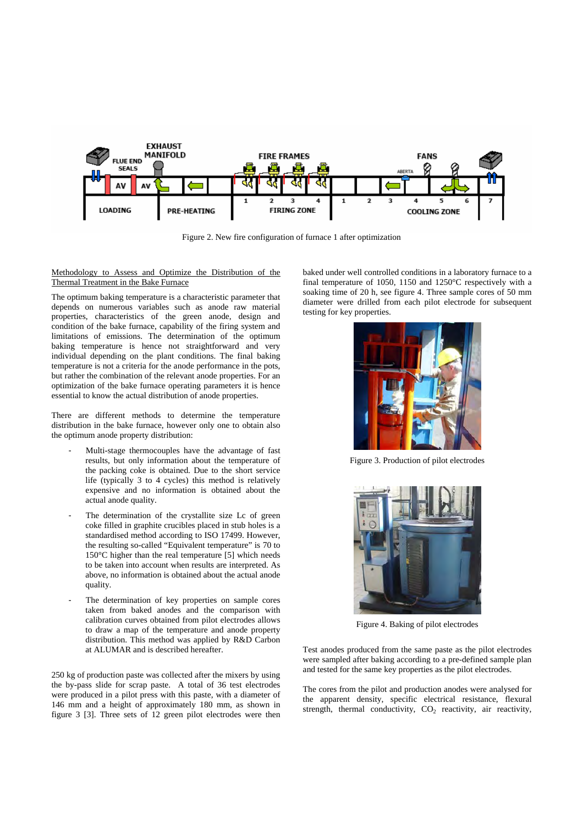

Figure 2. New fire configuration of furnace 1 after optimization

Methodology to Assess and Optimize the Distribution of the Thermal Treatment in the Bake Furnace

The optimum baking temperature is a characteristic parameter that depends on numerous variables such as anode raw material properties, characteristics of the green anode, design and condition of the bake furnace, capability of the firing system and limitations of emissions. The determination of the optimum baking temperature is hence not straightforward and very individual depending on the plant conditions. The final baking temperature is not a criteria for the anode performance in the pots, but rather the combination of the relevant anode properties. For an optimization of the bake furnace operating parameters it is hence essential to know the actual distribution of anode properties.

There are different methods to determine the temperature distribution in the bake furnace, however only one to obtain also the optimum anode property distribution:

- Multi-stage thermocouples have the advantage of fast results, but only information about the temperature of the packing coke is obtained. Due to the short service life (typically 3 to 4 cycles) this method is relatively expensive and no information is obtained about the actual anode quality.
- The determination of the crystallite size Lc of green coke filled in graphite crucibles placed in stub holes is a standardised method according to ISO 17499. However, the resulting so-called "Equivalent temperature" is 70 to 150°C higher than the real temperature [5] which needs to be taken into account when results are interpreted. As above, no information is obtained about the actual anode quality.
- The determination of key properties on sample cores taken from baked anodes and the comparison with calibration curves obtained from pilot electrodes allows to draw a map of the temperature and anode property distribution. This method was applied by R&D Carbon at ALUMAR and is described hereafter.

250 kg of production paste was collected after the mixers by using the by-pass slide for scrap paste. A total of 36 test electrodes were produced in a pilot press with this paste, with a diameter of 146 mm and a height of approximately 180 mm, as shown in figure 3 [3]. Three sets of 12 green pilot electrodes were then baked under well controlled conditions in a laboratory furnace to a final temperature of 1050, 1150 and 1250°C respectively with a soaking time of 20 h, see figure 4. Three sample cores of 50 mm diameter were drilled from each pilot electrode for subsequent testing for key properties.



Figure 3. Production of pilot electrodes



Figure 4. Baking of pilot electrodes

Test anodes produced from the same paste as the pilot electrodes were sampled after baking according to a pre-defined sample plan and tested for the same key properties as the pilot electrodes.

The cores from the pilot and production anodes were analysed for the apparent density, specific electrical resistance, flexural strength, thermal conductivity,  $CO<sub>2</sub>$  reactivity, air reactivity,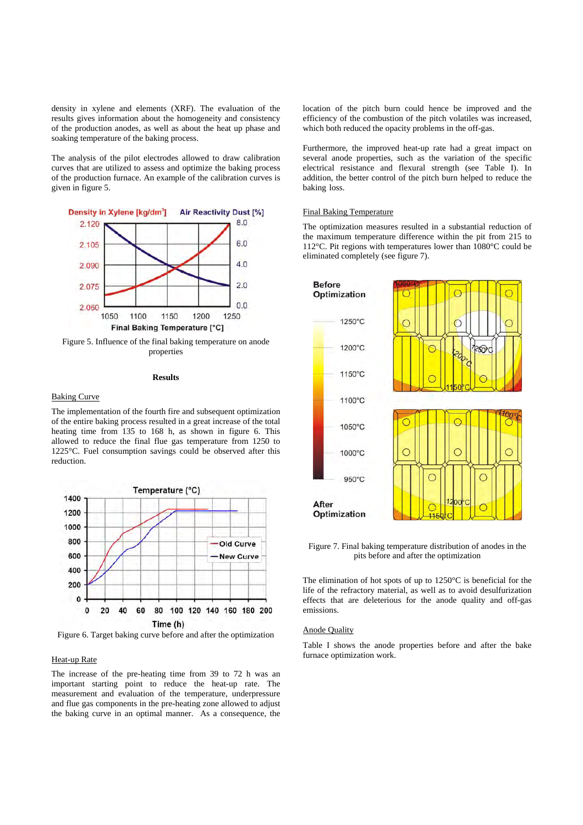density in xylene and elements (XRF). The evaluation of the results gives information about the homogeneity and consistency of the production anodes, as well as about the heat up phase and soaking temperature of the baking process.

The analysis of the pilot electrodes allowed to draw calibration curves that are utilized to assess and optimize the baking process of the production furnace. An example of the calibration curves is given in figure 5.



Figure 5. Influence of the final baking temperature on anode properties

# **Results**

#### Baking Curve

The implementation of the fourth fire and subsequent optimization of the entire baking process resulted in a great increase of the total heating time from 135 to 168 h, as shown in figure 6. This allowed to reduce the final flue gas temperature from 1250 to 1225°C. Fuel consumption savings could be observed after this reduction.



Figure 6. Target baking curve before and after the optimization

#### Heat-up Rate

The increase of the pre-heating time from 39 to 72 h was an important starting point to reduce the heat-up rate. The measurement and evaluation of the temperature, underpressure and flue gas components in the pre-heating zone allowed to adjust the baking curve in an optimal manner. As a consequence, the location of the pitch burn could hence be improved and the efficiency of the combustion of the pitch volatiles was increased, which both reduced the opacity problems in the off-gas.

Furthermore, the improved heat-up rate had a great impact on several anode properties, such as the variation of the specific electrical resistance and flexural strength (see Table I). In addition, the better control of the pitch burn helped to reduce the baking loss.

# Final Baking Temperature

The optimization measures resulted in a substantial reduction of the maximum temperature difference within the pit from 215 to 112°C. Pit regions with temperatures lower than 1080°C could be eliminated completely (see figure 7).



Figure 7. Final baking temperature distribution of anodes in the pits before and after the optimization

The elimination of hot spots of up to 1250°C is beneficial for the life of the refractory material, as well as to avoid desulfurization effects that are deleterious for the anode quality and off-gas emissions.

#### Anode Quality

Table I shows the anode properties before and after the bake furnace optimization work.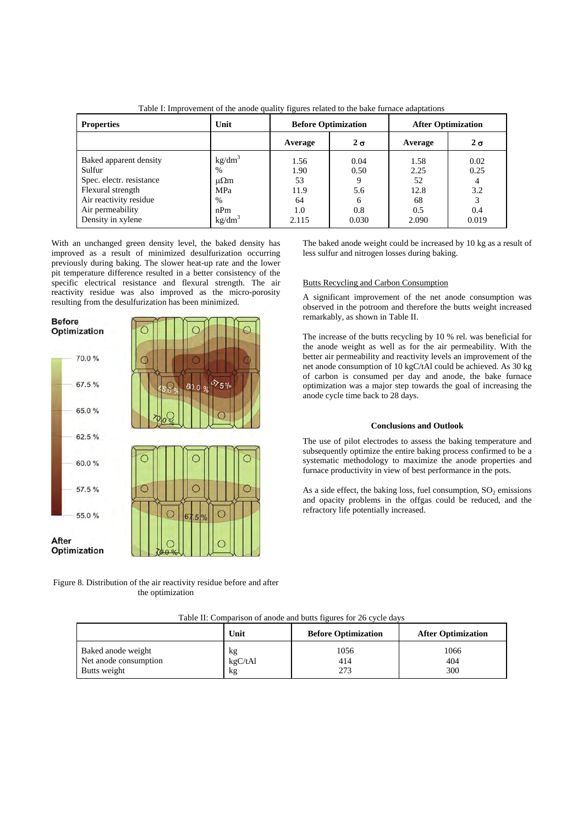| <b>Properties</b>                           | Unit                       | <b>Before Optimization</b> |              | <b>After Optimization</b> |              |
|---------------------------------------------|----------------------------|----------------------------|--------------|---------------------------|--------------|
|                                             |                            | Average                    | $2 \sigma$   | Average                   | $2\sigma$    |
| Baked apparent density<br>Sulfur            | kg/dm <sup>3</sup><br>$\%$ | 1.56<br>1.90               | 0.04<br>0.50 | 1.58<br>2.25              | 0.02<br>0.25 |
| Spec. electr. resistance                    | $\mu\Omega$ m              | 53                         |              | 52                        |              |
| Flexural strength<br>Air reactivity residue | <b>MPa</b><br>$\%$         | 11.9<br>64                 | 5.6          | 12.8<br>68                | 3.2          |
| Air permeability<br>Density in xylene       | nPm<br>kg/dm <sup>3</sup>  | 1.0<br>2.115               | 0.8<br>0.030 | 0.5<br>2.090              | 0.4<br>0.019 |

Table I: Improvement of the anode quality figures related to the bake furnace adaptations

With an unchanged green density level, the baked density has improved as a result of minimized desulfurization occurring previously during baking. The slower heat-up rate and the lower pit temperature difference resulted in a better consistency of the specific electrical resistance and flexural strength. The air reactivity residue was also improved as the micro-porosity resulting from the desulfurization has been minimized.



Figure 8. Distribution of the air reactivity residue before and after the optimization

The baked anode weight could be increased by 10 kg as a result of less sulfur and nitrogen losses during baking.

# Butts Recycling and Carbon Consumption

A significant improvement of the net anode consumption was observed in the potroom and therefore the butts weight increased remarkably, as shown in Table II.

The increase of the butts recycling by 10 % rel. was beneficial for the anode weight as well as for the air permeability. With the better air permeability and reactivity levels an improvement of the net anode consumption of 10 kgC/tAl could be achieved. As 30 kg of carbon is consumed per day and anode, the bake furnace optimization was a major step towards the goal of increasing the anode cycle time back to 28 days.

# **Conclusions and Outlook**

The use of pilot electrodes to assess the baking temperature and subsequently optimize the entire baking process confirmed to be a systematic methodology to maximize the anode properties and furnace productivity in view of best performance in the pots.

As a side effect, the baking loss, fuel consumption,  $SO_2$  emissions and opacity problems in the offgas could be reduced, and the refractory life potentially increased.

|                                                             | Unit                | <b>Before Optimization</b> | <b>After Optimization</b> |
|-------------------------------------------------------------|---------------------|----------------------------|---------------------------|
| Baked anode weight<br>Net anode consumption<br>Butts weight | kg<br>kgC/tAl<br>kg | 1056<br>414                | 1066<br>404<br>300        |

Table II: Comparison of anode and butts figures for 26 cycle days